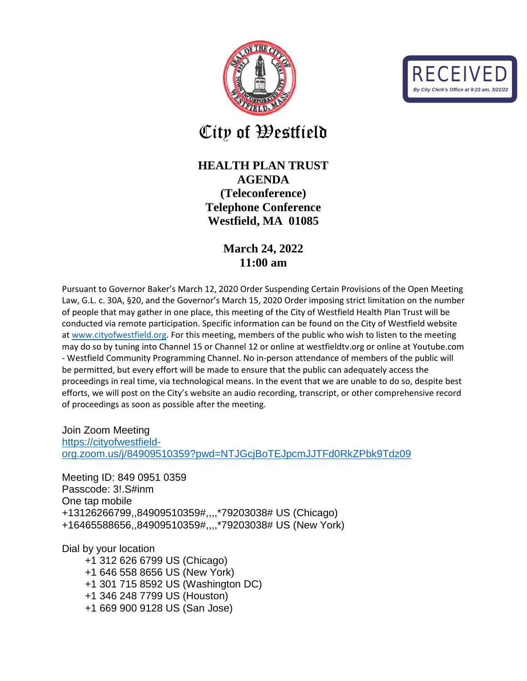



City of Westfield

## **HEALTH PLAN TRUST AGENDA (Teleconference) Telephone Conference Westfield, MA 01085**

## **March 24, 2022 11:00 am**

Pursuant to Governor Baker's March 12, 2020 Order Suspending Certain Provisions of the Open Meeting Law, G.L. c. 30A, §20, and the Governor's March 15, 2020 Order imposing strict limitation on the number of people that may gather in one place, this meeting of the City of Westfield Health Plan Trust will be conducted via remote participation. Specific information can be found on the City of Westfield website at [www.cityofwestfield.org.](http://www.cityofwestfield.org/) For this meeting, members of the public who wish to listen to the meeting may do so by tuning into Channel 15 or Channel 12 or online at westfieldtv.org or online at Youtube.com - Westfield Community Programming Channel. No in-person attendance of members of the public will be permitted, but every effort will be made to ensure that the public can adequately access the proceedings in real time, via technological means. In the event that we are unable to do so, despite best efforts, we will post on the City's website an audio recording, transcript, or other comprehensive record of proceedings as soon as possible after the meeting.

Join Zoom Meeting [https://cityofwestfield](https://cityofwestfield-org.zoom.us/j/84909510359?pwd=NTJGcjBoTEJpcmJJTFd0RkZPbk9Tdz09)[org.zoom.us/j/84909510359?pwd=NTJGcjBoTEJpcmJJTFd0RkZPbk9Tdz09](https://cityofwestfield-org.zoom.us/j/84909510359?pwd=NTJGcjBoTEJpcmJJTFd0RkZPbk9Tdz09)

Meeting ID: 849 0951 0359 Passcode: 3!.S#inm One tap mobile +13126266799,,84909510359#,,,,\*79203038# US (Chicago) +16465588656,,84909510359#,,,,\*79203038# US (New York)

Dial by your location

 +1 312 626 6799 US (Chicago) +1 646 558 8656 US (New York) +1 301 715 8592 US (Washington DC) +1 346 248 7799 US (Houston) +1 669 900 9128 US (San Jose)